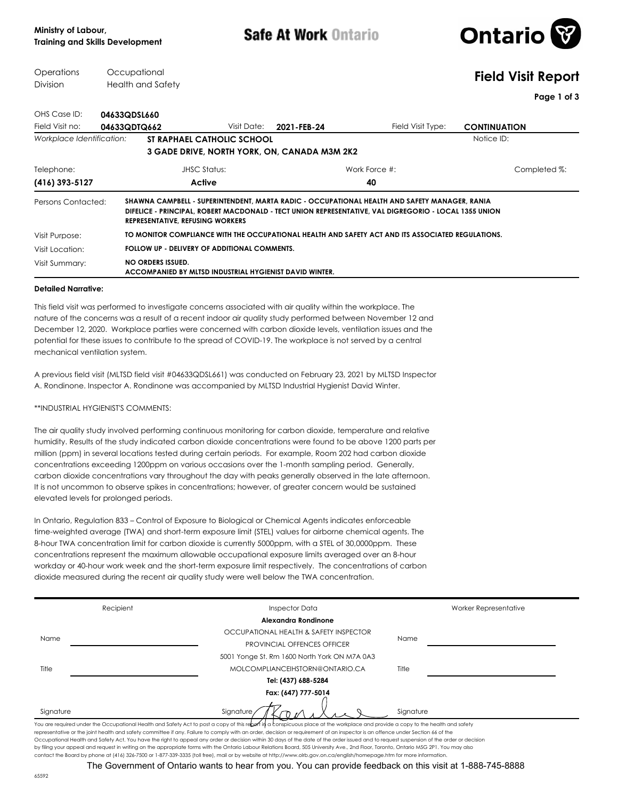Safe At Work Ontario



## **Operations** Division **Occupational** Health and Safety **Field Visit Report Page 1 of 3** OHS Case ID: **04633QDSL660** Field Visit no: **04633QDTQ662** Visit Date: **2021-FEB-24** Field Visit Type: **CONTINUATION** Visit Date: **2021-FEB-24 Workplace Identification: <b>ST RAPHAEL CATHOLIC SCHOOL Notice ID:** Notice ID: **3 GADE DRIVE, NORTH YORK, ON, CANADA M3M 2K2 (416) 393-5127 Active 40** Telephone: JHSC Status: Work Force #: Completed %: **SHAWNA CAMPBELL - SUPERINTENDENT, MARTA RADIC - OCCUPATIONAL HEALTH AND SAFETY MANAGER, RANIA DIFELICE - PRINCIPAL, ROBERT MACDONALD - TECT UNION REPRESENTATIVE, VAL DIGREGORIO - LOCAL 1355 UNION REPRESENTATIVE, REFUSING WORKERS** Persons Contacted: Visit Purpose: **TO MONITOR COMPLIANCE WITH THE OCCUPATIONAL HEALTH AND SAFETY ACT AND ITS ASSOCIATED REGULATIONS.** Visit Location: **FOLLOW UP - DELIVERY OF ADDITIONAL COMMENTS. NO ORDERS ISSUED. ACCOMPANIED BY MLTSD INDUSTRIAL HYGIENIST DAVID WINTER.** Visit Summary:

## **Detailed Narrative:**

This field visit was performed to investigate concerns associated with air quality within the workplace. The nature of the concerns was a result of a recent indoor air quality study performed between November 12 and December 12, 2020. Workplace parties were concerned with carbon dioxide levels, ventilation issues and the potential for these issues to contribute to the spread of COVID-19. The workplace is not served by a central mechanical ventilation system.

A previous field visit (MLTSD field visit #04633QDSL661) was conducted on February 23, 2021 by MLTSD Inspector A. Rondinone. Inspector A. Rondinone was accompanied by MLTSD Industrial Hygienist David Winter.

\*\*INDUSTRIAL HYGIENIST'S COMMENTS:

The air quality study involved performing continuous monitoring for carbon dioxide, temperature and relative humidity. Results of the study indicated carbon dioxide concentrations were found to be above 1200 parts per million (ppm) in several locations tested during certain periods. For example, Room 202 had carbon dioxide concentrations exceeding 1200ppm on various occasions over the 1-month sampling period. Generally, carbon dioxide concentrations vary throughout the day with peaks generally observed in the late afternoon. It is not uncommon to observe spikes in concentrations; however, of greater concern would be sustained elevated levels for prolonged periods.

In Ontario, Regulation 833 – Control of Exposure to Biological or Chemical Agents indicates enforceable time-weighted average (TWA) and short-term exposure limit (STEL) values for airborne chemical agents. The 8-hour TWA concentration limit for carbon dioxide is currently 5000ppm, with a STEL of 30,0000ppm. These concentrations represent the maximum allowable occupational exposure limits averaged over an 8-hour workday or 40-hour work week and the short-term exposure limit respectively. The concentrations of carbon dioxide measured during the recent air quality study were well below the TWA concentration.

| Recipient | <b>Inspector Data</b>                                                                                                                                                                                                                                                                                                                                                                                                                                                                                                                                                 | Worker Representative |
|-----------|-----------------------------------------------------------------------------------------------------------------------------------------------------------------------------------------------------------------------------------------------------------------------------------------------------------------------------------------------------------------------------------------------------------------------------------------------------------------------------------------------------------------------------------------------------------------------|-----------------------|
|           | Alexandra Rondinone                                                                                                                                                                                                                                                                                                                                                                                                                                                                                                                                                   |                       |
|           | OCCUPATIONAL HEALTH & SAFETY INSPECTOR                                                                                                                                                                                                                                                                                                                                                                                                                                                                                                                                |                       |
| Name      | <b>PROVINCIAL OFFENCES OFFICER</b>                                                                                                                                                                                                                                                                                                                                                                                                                                                                                                                                    | Name                  |
|           | 5001 Yonge St, Rm 1600 North York ON M7A 0A3                                                                                                                                                                                                                                                                                                                                                                                                                                                                                                                          |                       |
| Title     | MOLCOMPLIANCEIHSTORN@ONTARIO.CA                                                                                                                                                                                                                                                                                                                                                                                                                                                                                                                                       | Title                 |
|           | Tel: (437) 688-5284                                                                                                                                                                                                                                                                                                                                                                                                                                                                                                                                                   |                       |
|           | Fax: (647) 777-5014                                                                                                                                                                                                                                                                                                                                                                                                                                                                                                                                                   |                       |
| Signature | Signature                                                                                                                                                                                                                                                                                                                                                                                                                                                                                                                                                             | Signature             |
|           | You are required under the Occupational Health and Safety Act to post a copy of this re <b>bert in</b> a conspicuous place at the workplace and provide a copy to the health and safety<br>representative or the joint health and safety committee if any. Failure to comply with an order, decision or requirement of an inspector is an offence under Section 66 of the<br>Occupational Health and Safety Act. You have the right to appeal any order or decision within 30 days of the date of the order issued and to request suspension of the order or decision |                       |

contact the Board by phone at (416) 326-7500 or 1-877-339-3335 (toll free), mail or by website at http://www.olrb.gov.on.ca/english/homepage.htm for more information. The Government of Ontario wants to hear from you. You can provide feedback on this visit at 1-888-745-8888

by filing your appeal and request in writing on the appropriate forms with the Ontario Labour Relations Board, 505 University Ave., 2nd Floor, Toronto, Ontario M5G 2P1. You may also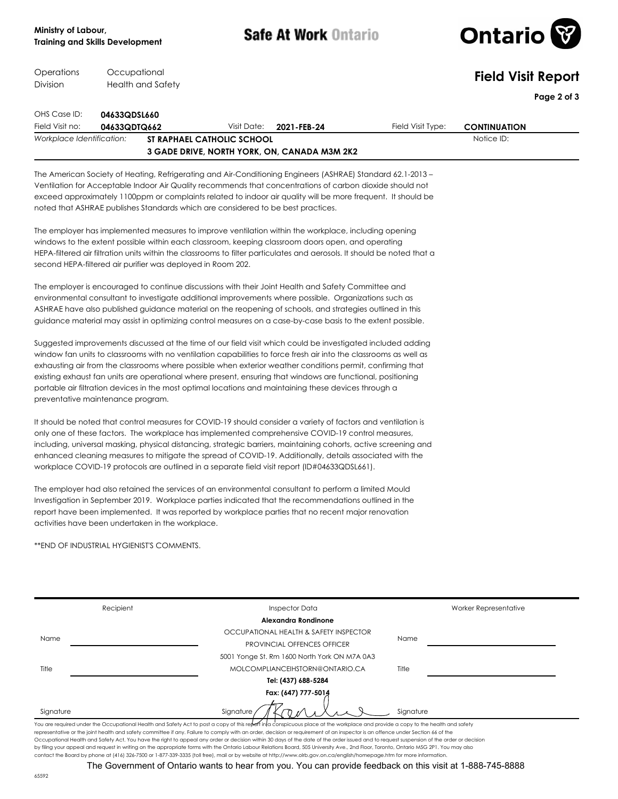**Occupational** 

Operations

Safe At Work Ontario



| Operations<br>Division          | Occupational<br>Health and Safety                 |                                                                                                                                                                                                                                                                                                                                                                                                                                                                                                                                                                              |             |             |                                                                                                                                                                                                                                                                                                                                                                                                                                                                                                                                                                                                                                                                                                 | <b>Field Visit Report</b> |             |
|---------------------------------|---------------------------------------------------|------------------------------------------------------------------------------------------------------------------------------------------------------------------------------------------------------------------------------------------------------------------------------------------------------------------------------------------------------------------------------------------------------------------------------------------------------------------------------------------------------------------------------------------------------------------------------|-------------|-------------|-------------------------------------------------------------------------------------------------------------------------------------------------------------------------------------------------------------------------------------------------------------------------------------------------------------------------------------------------------------------------------------------------------------------------------------------------------------------------------------------------------------------------------------------------------------------------------------------------------------------------------------------------------------------------------------------------|---------------------------|-------------|
|                                 |                                                   |                                                                                                                                                                                                                                                                                                                                                                                                                                                                                                                                                                              |             |             |                                                                                                                                                                                                                                                                                                                                                                                                                                                                                                                                                                                                                                                                                                 |                           | Page 2 of 3 |
| OHS Case ID:<br>Field Visit no: | 04633QDSL660<br>04633QDTQ662                      |                                                                                                                                                                                                                                                                                                                                                                                                                                                                                                                                                                              | Visit Date: | 2021-FEB-24 | Field Visit Type:                                                                                                                                                                                                                                                                                                                                                                                                                                                                                                                                                                                                                                                                               | <b>CONTINUATION</b>       |             |
| Workplace Identification:       |                                                   | ST RAPHAEL CATHOLIC SCHOOL                                                                                                                                                                                                                                                                                                                                                                                                                                                                                                                                                   |             |             |                                                                                                                                                                                                                                                                                                                                                                                                                                                                                                                                                                                                                                                                                                 | Notice ID:                |             |
|                                 |                                                   | 3 GADE DRIVE, NORTH YORK, ON, CANADA M3M 2K2                                                                                                                                                                                                                                                                                                                                                                                                                                                                                                                                 |             |             |                                                                                                                                                                                                                                                                                                                                                                                                                                                                                                                                                                                                                                                                                                 |                           |             |
|                                 |                                                   | noted that ASHRAE publishes Standards which are considered to be best practices.<br>The employer has implemented measures to improve ventilation within the workplace, including opening<br>windows to the extent possible within each classroom, keeping classroom doors open, and operating<br>second HEPA-filtered air purifier was deployed in Room 202.<br>The employer is encouraged to continue discussions with their Joint Health and Safety Committee and<br>environmental consultant to investigate additional improvements where possible. Organizations such as |             |             | The American Society of Heating, Refrigerating and Air-Conditioning Engineers (ASHRAE) Standard 62.1-2013 -<br>Ventilation for Acceptable Indoor Air Quality recommends that concentrations of carbon dioxide should not<br>exceed approximately 1100ppm or complaints related to indoor air quality will be more frequent. It should be<br>HEPA-filtered air filtration units within the classrooms to filter particulates and aerosols. It should be noted that a<br>ASHRAE have also published guidance material on the reopening of schools, and strategies outlined in this<br>guidance material may assist in optimizing control measures on a case-by-case basis to the extent possible. |                           |             |
|                                 | preventative maintenance program.                 | portable air filtration devices in the most optimal locations and maintaining these devices through a                                                                                                                                                                                                                                                                                                                                                                                                                                                                        |             |             | Suggested improvements discussed at the time of our field visit which could be investigated included adding<br>window fan units to classrooms with no ventilation capabilities to force fresh air into the classrooms as well as<br>exhausting air from the classrooms where possible when exterior weather conditions permit, confirming that<br>existing exhaust fan units are operational where present, ensuring that windows are functional, positioning                                                                                                                                                                                                                                   |                           |             |
|                                 |                                                   | only one of these factors. The workplace has implemented comprehensive COVID-19 control measures,<br>workplace COVID-19 protocols are outlined in a separate field visit report (ID#04633QDSL661).                                                                                                                                                                                                                                                                                                                                                                           |             |             | It should be noted that control measures for COVID-19 should consider a variety of factors and ventilation is<br>including, universal masking, physical distancing, strategic barriers, maintaining cohorts, active screening and<br>enhanced cleaning measures to mitigate the spread of COVID-19. Additionally, details associated with the                                                                                                                                                                                                                                                                                                                                                   |                           |             |
|                                 | activities have been undertaken in the workplace. | The employer had also retained the services of an environmental consultant to perform a limited Mould<br>Investigation in September 2019. Workplace parties indicated that the recommendations outlined in the<br>report have been implemented. It was reported by workplace parties that no recent major renovation                                                                                                                                                                                                                                                         |             |             |                                                                                                                                                                                                                                                                                                                                                                                                                                                                                                                                                                                                                                                                                                 |                           |             |
|                                 | **END OF INDUSTRIAL HYGIENIST'S COMMENTS.         |                                                                                                                                                                                                                                                                                                                                                                                                                                                                                                                                                                              |             |             |                                                                                                                                                                                                                                                                                                                                                                                                                                                                                                                                                                                                                                                                                                 |                           |             |
|                                 |                                                   |                                                                                                                                                                                                                                                                                                                                                                                                                                                                                                                                                                              |             |             |                                                                                                                                                                                                                                                                                                                                                                                                                                                                                                                                                                                                                                                                                                 |                           |             |
|                                 |                                                   |                                                                                                                                                                                                                                                                                                                                                                                                                                                                                                                                                                              |             |             |                                                                                                                                                                                                                                                                                                                                                                                                                                                                                                                                                                                                                                                                                                 |                           |             |
|                                 |                                                   |                                                                                                                                                                                                                                                                                                                                                                                                                                                                                                                                                                              |             |             |                                                                                                                                                                                                                                                                                                                                                                                                                                                                                                                                                                                                                                                                                                 |                           |             |

| Name      | OCCUPATIONAL HEALTH & SAFETY INSPECTOR<br><b>PROVINCIAL OFFENCES OFFICER</b>                                                                                                                                                                                                                                                                                      | Name      |
|-----------|-------------------------------------------------------------------------------------------------------------------------------------------------------------------------------------------------------------------------------------------------------------------------------------------------------------------------------------------------------------------|-----------|
|           | 5001 Yonge St, Rm 1600 North York ON M7A 0A3                                                                                                                                                                                                                                                                                                                      |           |
| Title     | MOLCOMPLIANCEIHSTORN@ONTARIO.CA                                                                                                                                                                                                                                                                                                                                   | Title     |
|           | Tel: (437) 688-5284                                                                                                                                                                                                                                                                                                                                               |           |
|           | Fax: (647) 777-5014                                                                                                                                                                                                                                                                                                                                               |           |
| Signature | Signature                                                                                                                                                                                                                                                                                                                                                         | Sianature |
|           | You are required under the Occupational Health and Safety Act to post a copy of this report inla conspicuous place at the workplace and provide a copy to the health and safety<br>representative or the joint health and safety committee if any. Failure to comply with an order, decision or requirement of an inspector is an offence under Section 66 of the |           |
|           | Occupational Health and Safety Act. You have the right to appeal any order or decision within 30 days of the date of the order issued and to request suspension of the order or decision                                                                                                                                                                          |           |
|           | by filing your appeal and request in writing on the appropriate forms with the Ontario Labour Relations Board, 505 University Ave., 2nd Floor, Toronto, Ontario M5G 2P1. You may also                                                                                                                                                                             |           |
|           | contact the Board by phone at (416) 326-7500 or 1-877-339-3335 (toll free), mail or by website at http://www.olrb.gov.on.ca/english/homepage.htm for more information.                                                                                                                                                                                            |           |

Recipient **Inspector Data** Inspector Data American Morker Representative

**Alexandra Rondinone**

The Government of Ontario wants to hear from you. You can provide feedback on this visit at 1-888-745-8888